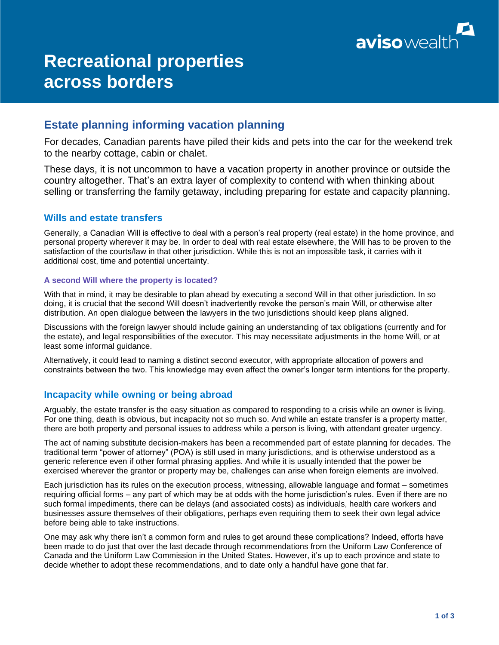

# **Recreational properties across borders**

# **Estate planning informing vacation planning**

For decades, Canadian parents have piled their kids and pets into the car for the weekend trek to the nearby cottage, cabin or chalet.

These days, it is not uncommon to have a vacation property in another province or outside the country altogether. That's an extra layer of complexity to contend with when thinking about selling or transferring the family getaway, including preparing for estate and capacity planning.

## **Wills and estate transfers**

Generally, a Canadian Will is effective to deal with a person's real property (real estate) in the home province, and personal property wherever it may be. In order to deal with real estate elsewhere, the Will has to be proven to the satisfaction of the courts/law in that other jurisdiction. While this is not an impossible task, it carries with it additional cost, time and potential uncertainty.

#### **A second Will where the property is located?**

With that in mind, it may be desirable to plan ahead by executing a second Will in that other jurisdiction. In so doing, it is crucial that the second Will doesn't inadvertently revoke the person's main Will, or otherwise alter distribution. An open dialogue between the lawyers in the two jurisdictions should keep plans aligned.

Discussions with the foreign lawyer should include gaining an understanding of tax obligations (currently and for the estate), and legal responsibilities of the executor. This may necessitate adjustments in the home Will, or at least some informal guidance.

Alternatively, it could lead to naming a distinct second executor, with appropriate allocation of powers and constraints between the two. This knowledge may even affect the owner's longer term intentions for the property.

## **Incapacity while owning or being abroad**

Arguably, the estate transfer is the easy situation as compared to responding to a crisis while an owner is living. For one thing, death is obvious, but incapacity not so much so. And while an estate transfer is a property matter, there are both property and personal issues to address while a person is living, with attendant greater urgency.

The act of naming substitute decision-makers has been a recommended part of estate planning for decades. The traditional term "power of attorney" (POA) is still used in many jurisdictions, and is otherwise understood as a generic reference even if other formal phrasing applies. And while it is usually intended that the power be exercised wherever the grantor or property may be, challenges can arise when foreign elements are involved.

Each jurisdiction has its rules on the execution process, witnessing, allowable language and format – sometimes requiring official forms – any part of which may be at odds with the home jurisdiction's rules. Even if there are no such formal impediments, there can be delays (and associated costs) as individuals, health care workers and businesses assure themselves of their obligations, perhaps even requiring them to seek their own legal advice before being able to take instructions.

One may ask why there isn't a common form and rules to get around these complications? Indeed, efforts have been made to do just that over the last decade through recommendations from the Uniform Law Conference of Canada and the Uniform Law Commission in the United States. However, it's up to each province and state to decide whether to adopt these recommendations, and to date only a handful have gone that far.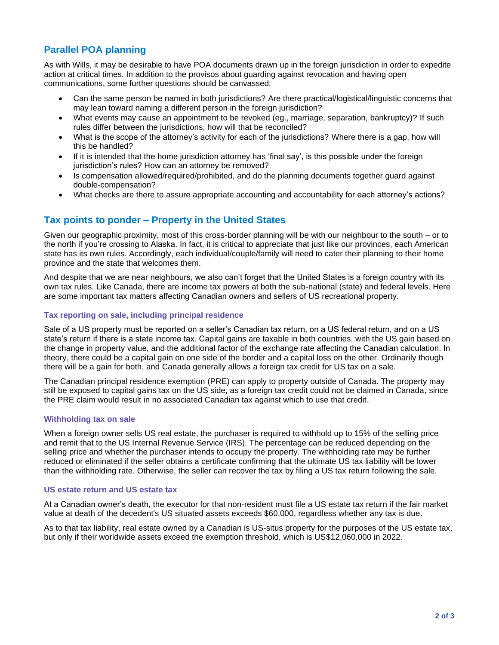## **Parallel POA planning**

As with Wills, it may be desirable to have POA documents drawn up in the foreign jurisdiction in order to expedite action at critical times. In addition to the provisos about guarding against revocation and having open communications, some further questions should be canvassed:

- Can the same person be named in both jurisdictions? Are there practical/logistical/linguistic concerns that may lean toward naming a different person in the foreign jurisdiction?
- What events may cause an appointment to be revoked (eg., marriage, separation, bankruptcy)? If such rules differ between the jurisdictions, how will that be reconciled?
- What is the scope of the attorney's activity for each of the jurisdictions? Where there is a gap, how will this be handled?
- If it is intended that the home jurisdiction attorney has 'final say', is this possible under the foreign jurisdiction's rules? How can an attorney be removed?
- Is compensation allowed/required/prohibited, and do the planning documents together guard against double-compensation?
- What checks are there to assure appropriate accounting and accountability for each attorney's actions?

## **Tax points to ponder – Property in the United States**

Given our geographic proximity, most of this cross-border planning will be with our neighbour to the south – or to the north if you're crossing to Alaska. In fact, it is critical to appreciate that just like our provinces, each American state has its own rules. Accordingly, each individual/couple/family will need to cater their planning to their home province and the state that welcomes them.

And despite that we are near neighbours, we also can't forget that the United States is a foreign country with its own tax rules. Like Canada, there are income tax powers at both the sub-national (state) and federal levels. Here are some important tax matters affecting Canadian owners and sellers of US recreational property.

#### **Tax reporting on sale, including principal residence**

Sale of a US property must be reported on a seller's Canadian tax return, on a US federal return, and on a US state's return if there is a state income tax. Capital gains are taxable in both countries, with the US gain based on the change in property value, and the additional factor of the exchange rate affecting the Canadian calculation. In theory, there could be a capital gain on one side of the border and a capital loss on the other. Ordinarily though there will be a gain for both, and Canada generally allows a foreign tax credit for US tax on a sale.

The Canadian principal residence exemption (PRE) can apply to property outside of Canada. The property may still be exposed to capital gains tax on the US side, as a foreign tax credit could not be claimed in Canada, since the PRE claim would result in no associated Canadian tax against which to use that credit.

#### **Withholding tax on sale**

When a foreign owner sells US real estate, the purchaser is required to withhold up to 15% of the selling price and remit that to the US Internal Revenue Service (IRS). The percentage can be reduced depending on the selling price and whether the purchaser intends to occupy the property. The withholding rate may be further reduced or eliminated if the seller obtains a certificate confirming that the ultimate US tax liability will be lower than the withholding rate. Otherwise, the seller can recover the tax by filing a US tax return following the sale.

#### **US estate return and US estate tax**

At a Canadian owner's death, the executor for that non-resident must file a US estate tax return if the fair market value at death of the decedent's US situated assets exceeds \$60,000, regardless whether any tax is due.

As to that tax liability, real estate owned by a Canadian is US-situs property for the purposes of the US estate tax, but only if their worldwide assets exceed the exemption threshold, which is US\$12,060,000 in 2022.